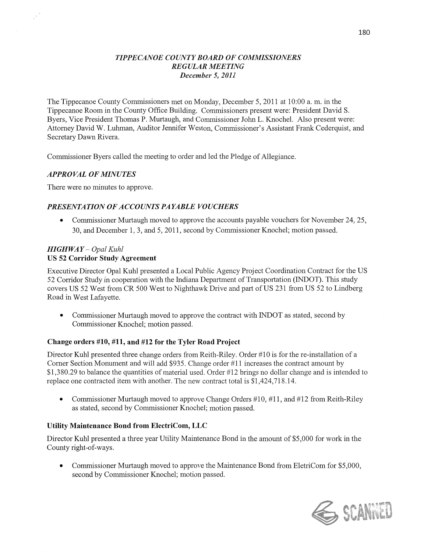#### *T IPPE CANOE COUNTY BOARD* OF *COMMISSIONERS REGULAR MEETING December* 5, *2011*

The Tippecanoe County Commissioners met on Monday, December 5, 2011 at 10:00 a. m. in the Tippecanoe Room in the County Office Building. Commissioners present were: President David S. Byers, Vice President Thomas P. Murtaugh, and Commissioner John L. Knochel. **Also** present were: Attorney David W. Luhman, Auditor Jennifer Weston, Commissioner's Assistant Frank Cederquist, and Secretary Dawn Rivera.

Commissioner Byers called the meeting to order and led the Pledge of Allegiance.

#### **APPROVAL OF MINUTES**

 $\mathcal{N}$ 

There were no minutes to approve.

### *PRESENTATION 0FACCOUNTS PAYABLE VOUCHERS*

• Commissioner Murtaugh moved to approve the accounts payable vouchers for November 24, 25, 30, and December 1, 3, and 5, 2011, second by Commissioner Knochel; motion passed.

#### *HIGH* WAY *— Opal Kuhl*  US 52 **Corridor Study Agreement**

Executive Director Opal Kuhl presented **a** Local Public Agency Project Coordination Contract for the US 52 Corridor Study in cooperation with the Indiana Department of Transportation (INDOT). This study covers US 52 West from CR 500 West to Nighthawk Drive and part of US 231 from US 52 to Lindberg Road in West Lafayette.

• Commissioner Murtaugh moved to approve the contract with INDOT as stated, second by Commissioner Knochel; motion passed.

#### **Change orders #10, #11,** and #12 for the **Tyler Road Project**

Director Kuhl presented three change orders from Reith-Riley. Order #10 is for the re-installation of a Corner Section Monument and will add \$935. Change order #11 increases the contract amount by \$1,380.29 to balance the quantities of material **used.** Order #12 brings no dollar change and is intended to replace one contracted item with another. The new contract total is \$1,424,718.14.

• Commissioner Murtaugh moved to approve Change Orders #10, #11, and #12 from Reith-Riley as stated, second by Commissioner Knochel; motion passed.

#### Utility **Maintenance Bond from ElectriCom,** LLC

Director **Kuhl** presented **a** three year Utility Maintenance Bond in the amount of \$5,000 for work in the County right-of-ways.

• Commissioner Murtaugh moved to approve the Maintenance Bond from EletriCom for \$5,000, second by Commissioner Knochel; motion passed.

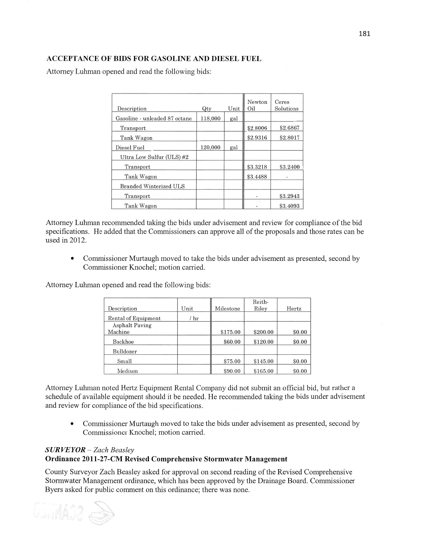# **ACCEPTANCE** OF **BIDS** FOR **GASOLINE** AND **DIESEL FUEL**

Attorney Luhman opened and read the following bids:

| Description                   | Qty     | Unit | Newton<br>Oil | Ceres<br>Solutions |
|-------------------------------|---------|------|---------------|--------------------|
| Gasoline - unleaded 87 octane | 118.000 | gal  |               |                    |
| Transport                     |         |      | \$2.8006      | \$2.6867           |
| Tank Wagon                    |         |      | \$2.9316      | \$2.8017           |
| Diesel Fuel                   | 120,000 | gal  |               |                    |
| Ultra Low Sulfur (ULS)#2      |         |      |               |                    |
| Transport                     |         |      | \$3.3218      | \$3.2400           |
| Tank Wagon                    |         |      | \$3.4488      |                    |
| <b>Branded Winterized ULS</b> |         |      |               |                    |
| Transport                     |         |      |               | \$3.2943           |
| Tank Wagon                    |         |      |               | \$3.4093           |

Attorney Luhman recommended taking the bids under advisement and review for compliance of the bid specifications. He added that the Commissioners can approve all of the proposals and those rates can be used in 2012.

**0** Commissioner Murtaugh moved to take the bids under advisement as presented, second by Commissioner Knochel; motion carried.

Attorney Luhman opened and read the following bids:

|                       |      |           | Reith-   |        |
|-----------------------|------|-----------|----------|--------|
| Description           | Unit | Milestone | Riley    | Hertz  |
| Rental of Equipment   | / hr |           |          |        |
| <b>Asphalt Paving</b> |      |           |          |        |
| Machine               |      | \$175.00  | \$200.00 | \$0.00 |
| Backhoe               |      | \$60.00   | \$120.00 | \$0.00 |
| Bulldozer             |      |           |          |        |
| Small                 |      | \$75.00   | \$145.00 | \$0.00 |
| Medium                |      | \$90.00   | \$165.00 | \$0.00 |

Attorney Luhman noted Hertz Equipment Rental Company did not submit an official bid, but rather <sup>a</sup> schedule of available equipment should it be needed. He recommended taking the bids under advisement and review for compliance of the bid specifications.

**0** Commissioner Murtaugh moved to take the bids under advisement as presented, second by Commissioner Knochel; motion carried.

# SUR *VEYOR* — *Zach Beasley*  **Ordinance 2011-27—CM Revised** Comprehensive **Stormwater** Management

County Surveyor Zach Beasley asked for approval on second reading of the Revised Comprehensive Stormwater Management ordinance, which has been approved by the Drainage Board. Commissioner Byers asked for public comment on this ordinance; there was none.

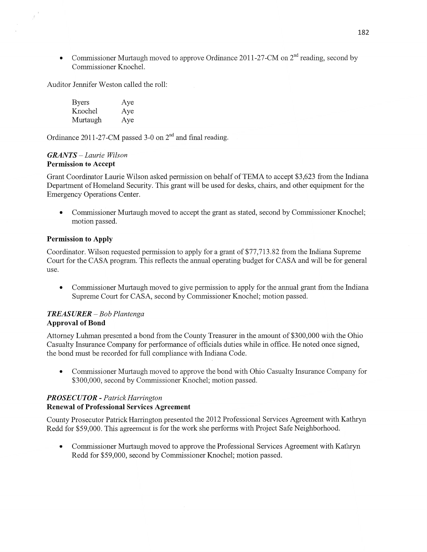• Commissioner Murtaugh moved to approve Ordinance 2011-27-CM on 2<sup>nd</sup> reading, second by Commissioner Knochel.

Auditor Jennifer Weston called the roll:

| <b>Byers</b> | Aye |
|--------------|-----|
| Knochel      | Aye |
| Murtaugh     | Aye |

Ordinance 2011-27-CM passed 3-0 on  $2<sup>nd</sup>$  and final reading.

#### *GRANTS* — *Laurie Wilson*  Permission to **Accept**

 $\bar{g}$ 

Grant Coordinator Laurie Wilson asked permission on behalf of TEMA to accept \$3,623 from the Indiana Department of Homeland Security. **This** grant will be used for **desks,** chairs, and other equipment for the Emergency Operations **Center.** 

**0** Commissidner Murtaugh moved to accept the grant as stated, second by Commissioner Knochel; motion passed.

### Permission to Apply

Coordinator. Wilson requested permission to apply for **a** grant of \$77,713.82 from the Indiana Supreme Court for the CASA program. **This** reflects the annual operating budget for CASA and will be for general use.

**0** Commissioner Murtaugh moved to give permission to apply for the annual grant from the Indiana Supreme Court for CASA, second by Commissioner Knochel; motion passed.

### *TREASURER* —— Bob *Plantenga*  **Approval** of Bond

Attorney Luhman presented a bond from the County Treasurer in the amount of \$300,000 with the Ohio Casualty Insurance Company for performance of officials duties while in office. He noted once signed, the bond must be recorded for full compliance with Indiana Code.

**0** Commissioner Murtaugh moved to approve the bond with Ohio Casualty Insurance Company for \$300,000, second by Commissioner Knochel; motion passed.

### *PROSE C* UT 0R *- Patrick Harrington*  **Renewal** of **Professional** Services Agreement

County Prosecutor Patrick Harrington presented the 2012 Professional Services Agreement with Kathryn Redd for \$59,000. This agreement is for the work she perfbrms with Project Safe Neighborhood.

**0** Commissioner Murtaugh moved to approve the Professional Services Agreement with Kathryn Redd for \$59,000, second by Commissioner Knochel; motion passed.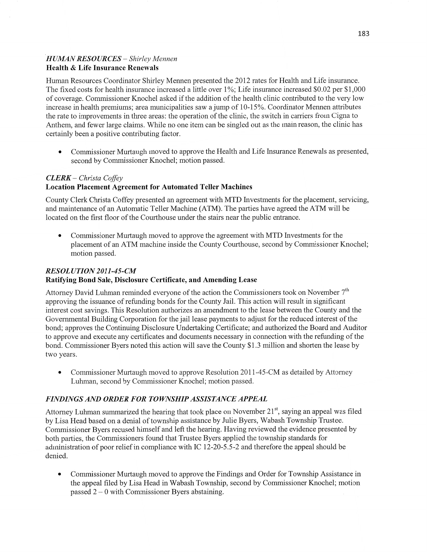# *'HUMAN RESOURCES* — *Shirley Mennen*  **Health** & **Life** Insurance Renewals

Human Resources Coordinator Shirley Mennen presented the 2012 rates for Health and Life insurance. The fixed costs for health insurance increased a little over 1%; **Life** insurance increased \$0.02 per \$1,000 of coverage. Commissioner Knochel asked if the addition of the health clinic contributed to the very low increase in health premiums; area municipalities saw a jump of 10-15%. Coordinator Mennen attributes the rate to improvements in three areas: the operation of the clinic, the switch in carriers from Cigna to Anthem, and fewer large claims. While no one item can be singled out as the main reason, the clinic has certainly been a positive contributing factor.

**0** Commissioner Murtaugh moved to approve the Health and Life Insurance Renewals as presented, second by Commissioner Knochel; motion passed.

### *CLERK* **—** *Christa Cofi'ey*

### **Location Placement** Agreement for **Automated Teller Machines**

County Clerk Christa Coffey presented an agreement with MTD Investments for the placement, servicing, and maintenance of an Automatic Teller Machine (ATM). The parties have agreed the ATM will be located on the first floor of the Courthouse under the stairs near the public entrance.

**0** Commissioner Murtaugh moved to approve the agreement with MTD Investments for the placement of an ATM machine inside the County Courthouse, second by Commissioner Knochel; motion passed.

# *RESOL UTION 2011-45-CM*  Ratifying **Bond** Sale, **Disclosure** Certificate, and Amending **Lease**

Attorney David Luhman reminded everyone of the action the Commissioners took on November  $7<sup>th</sup>$ approving the issuance of refunding bonds for the County Jail. This action will result in significant interest cost savings. **This** Resolution authorizes an amendment to the lease between the County and the Governmental Building Corporation for the jail lease payments to adjust for the reduced interest of the bond; approves the Continuing Disclosure Undertaking Certificate; and authorized the Board and Auditor to approve and execute any certificates and documents necessary in connection with the refunding of the bond. Commissioner Byers noted this action will save the County \$1.3 million and shorten the lease by two years.

• Commissioner Murtaugh moved to approve Resolution 2011-45-CM as detailed by Attorney Luhman, second by Commissioner Knochel; motion passed.

# *FINDINGS* AND *ORDER* FOR *TOWNSHIP ASSISTANCE APPEAL*

Attorney Luhman summarized the hearing that took place on November 21", saying an appeal was filed by Lisa Head based on a denial of township assistance by Julie Byers, Wabash Township Trustee. Commissioner Byers recused himself and left the hearing. Having reviewed the evidence presented by both parties, the Commissioners found that Trustee Byers applied the township standards for administration of poor relief in compliance with IC 12-20-5.5-2 and therefore the appeal should be denied.

• Commissioner Murtaugh moved to approve the Findings and Order for Township Assistance in the appeal filed by Lisa Head in Wabash Township, second by Commissioner Knochel; motion passed 2 *—* **O** with Commissioner Byers abstaining.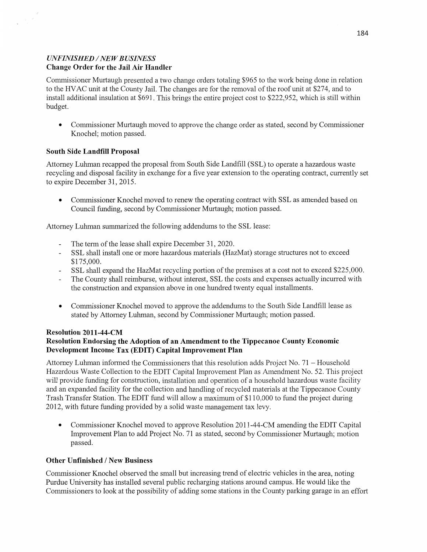# *UNFINISHED* / NEW *B USINESS*  **Change** Order for the Jail Air **Handler**

Commissioner Murtaugh presented a two change orders totaling \$965 to the work being done in relation to the HVAC unit at the County Jail. The changes are for the removal of the roof unit at \$274, and to install additional insulation at \$691. **This** brings the entire project cost to \$222,952, which is still Within budget.

**0** Commissioner Murtaugh moved to approve the change order as stated, second by Commissioner Knochel; motion passed.

### South Side Landfill **Proposal**

Attorney Luhman recapped the proposal from South Side Landfill (SSL) to operate a hazardous waste recycling and disposal facility in exchange for a five year extension to the operating contract, currently set to expire December 31, 2015.

• Commissioner Knochel moved to renew the operating contract with SSL as amended based on Council funding, second by Commissioner Murtaugh; motion passed.

Attorney Luhman summarized the following addendums to the SSL lease:

- The term of the lease shall expire December 31, 2020.
- SSL shall install one or more hazardous materials (HazMat) storage structures not to exceed \$ **1** 75 ,000.
- SSL shall expand the HazMat recycling portion of the premises at a cost not to exceed \$225,000.
- The County shall reimburse, without interest, SSL the costs and expenses actually incurred with the construction and expansion above in one hundred twenty equal installments.
- **0** Commissioner Knochel moved to approve the addendums to the South Side Landfill lease as stated by Attorney Luhman, second by Commissioner Murtaugh; motion passed.

# **Resolution 2011-44-CM**

### Resolution **Endorsing** the **Adoption** of an **Amendment** to the **Tippecanoe County Economic**  Development **Income** Tax **(EDIT) Capital** Improvement Plan

Attorney Luhman informed the Commissioners that this resolution adds Project No. 71 — Household Hazardous Waste Collection to the EDIT Capital Improvement Plan as Amendment No. 52. This project will provide funding for construction, installation and operation of a household hazardous waste facility and an expanded facility for the collection and handling of recycled materials at the Tippecanoe County Trash Transfer Station. The EDIT fund will allow a maximum of \$110,000 to fund the project during 2012, with future funding provided by a solid waste management tax levy.

**0** Commissioner Knochel moved to approve Resolution 2011-44-CM amending the **EDIT** Capital Improvement Plan to add Project No. 71 as stated, second by Commissioner Murtaugh; motion passed.

### **Other Unfinished** / New **Business**

Commissioner Knochel observed the small but increasing trend of electric vehicles in the area, noting Purdue University has installed several public recharging stations around campus. He would like the Commissioners to look at the possibility of adding some stations in the County parking garage in an effort